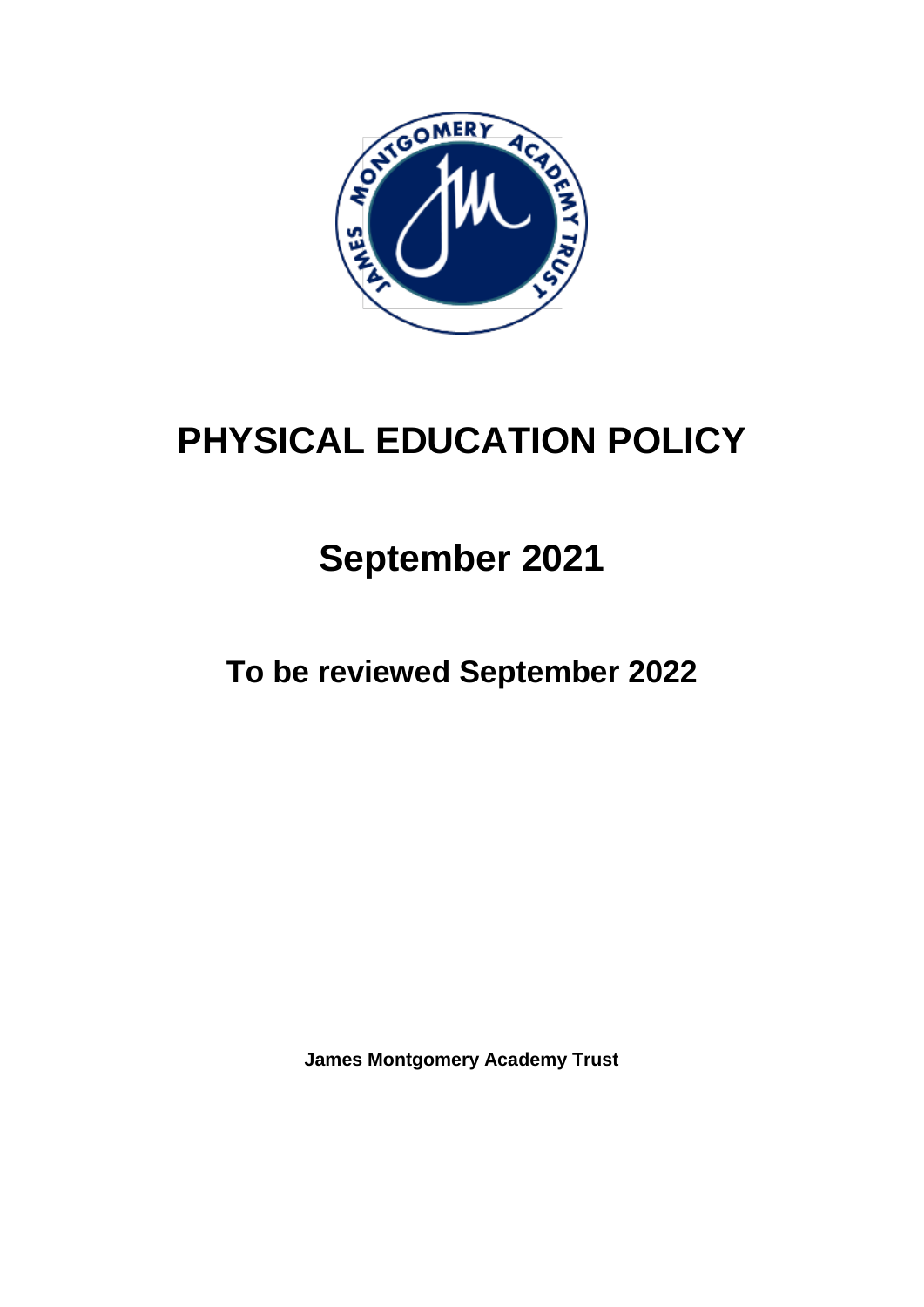

# **PHYSICAL EDUCATION POLICY**

# **September 2021**

**To be reviewed September 2022**

**James Montgomery Academy Trust**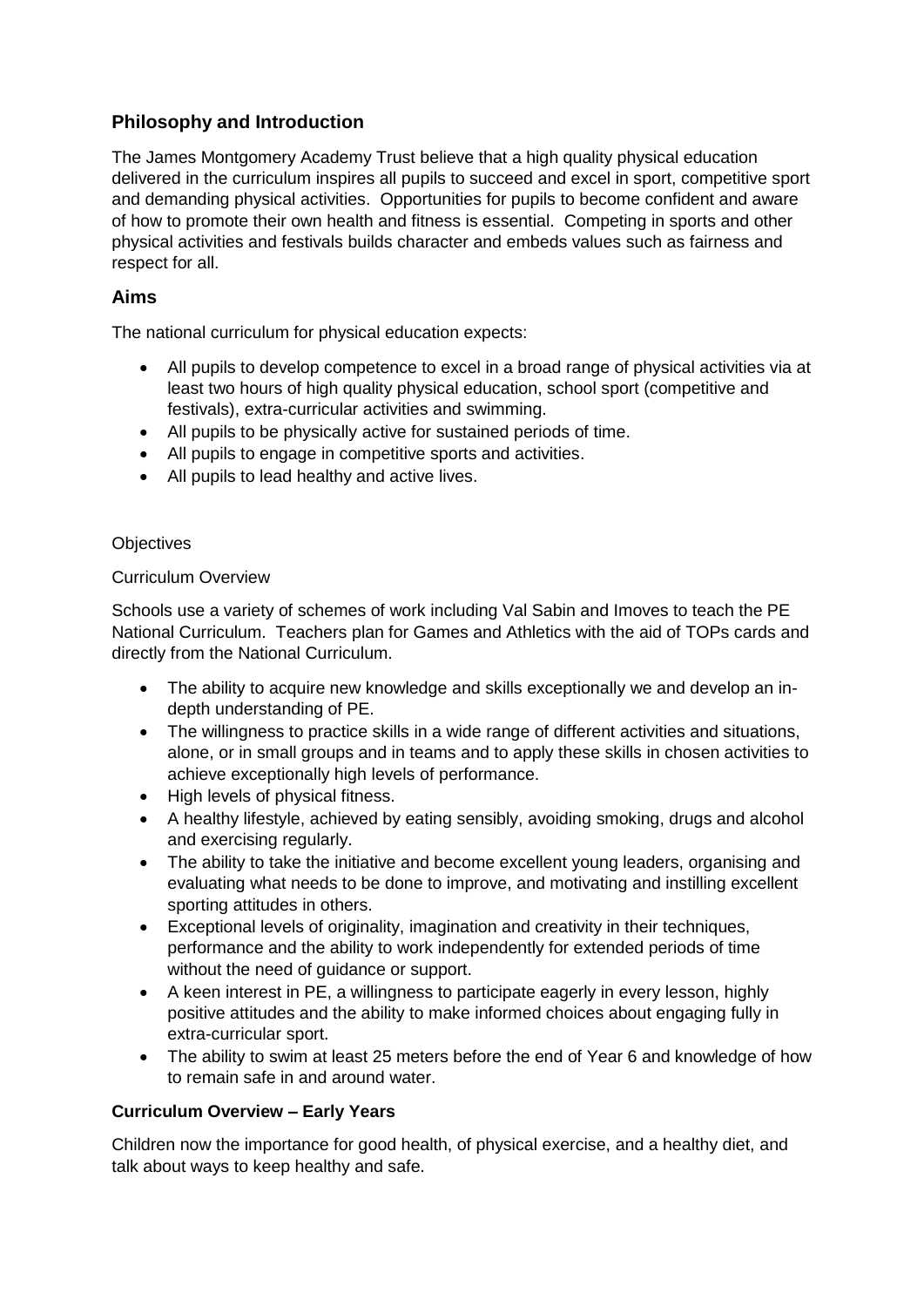# **Philosophy and Introduction**

The James Montgomery Academy Trust believe that a high quality physical education delivered in the curriculum inspires all pupils to succeed and excel in sport, competitive sport and demanding physical activities. Opportunities for pupils to become confident and aware of how to promote their own health and fitness is essential. Competing in sports and other physical activities and festivals builds character and embeds values such as fairness and respect for all.

# **Aims**

The national curriculum for physical education expects:

- All pupils to develop competence to excel in a broad range of physical activities via at least two hours of high quality physical education, school sport (competitive and festivals), extra-curricular activities and swimming.
- All pupils to be physically active for sustained periods of time.
- All pupils to engage in competitive sports and activities.
- All pupils to lead healthy and active lives.

## **Objectives**

## Curriculum Overview

Schools use a variety of schemes of work including Val Sabin and Imoves to teach the PE National Curriculum. Teachers plan for Games and Athletics with the aid of TOPs cards and directly from the National Curriculum.

- The ability to acquire new knowledge and skills exceptionally we and develop an indepth understanding of PE.
- The willingness to practice skills in a wide range of different activities and situations, alone, or in small groups and in teams and to apply these skills in chosen activities to achieve exceptionally high levels of performance.
- High levels of physical fitness.
- A healthy lifestyle, achieved by eating sensibly, avoiding smoking, drugs and alcohol and exercising regularly.
- The ability to take the initiative and become excellent young leaders, organising and evaluating what needs to be done to improve, and motivating and instilling excellent sporting attitudes in others.
- Exceptional levels of originality, imagination and creativity in their techniques, performance and the ability to work independently for extended periods of time without the need of guidance or support.
- A keen interest in PE, a willingness to participate eagerly in every lesson, highly positive attitudes and the ability to make informed choices about engaging fully in extra-curricular sport.
- The ability to swim at least 25 meters before the end of Year 6 and knowledge of how to remain safe in and around water.

### **Curriculum Overview – Early Years**

Children now the importance for good health, of physical exercise, and a healthy diet, and talk about ways to keep healthy and safe.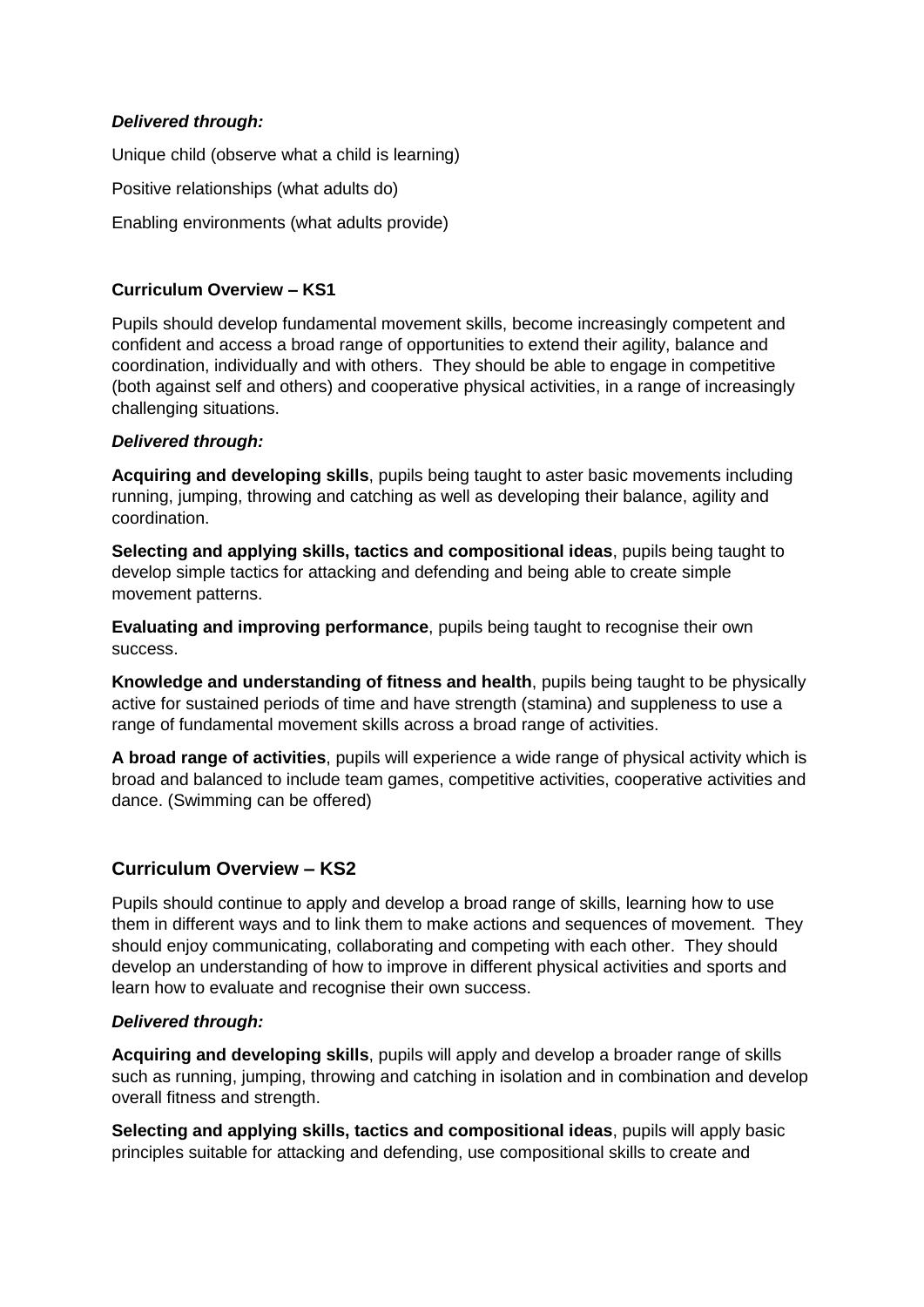## *Delivered through:*

Unique child (observe what a child is learning) Positive relationships (what adults do) Enabling environments (what adults provide)

## **Curriculum Overview – KS1**

Pupils should develop fundamental movement skills, become increasingly competent and confident and access a broad range of opportunities to extend their agility, balance and coordination, individually and with others. They should be able to engage in competitive (both against self and others) and cooperative physical activities, in a range of increasingly challenging situations.

## *Delivered through:*

**Acquiring and developing skills**, pupils being taught to aster basic movements including running, jumping, throwing and catching as well as developing their balance, agility and coordination.

**Selecting and applying skills, tactics and compositional ideas**, pupils being taught to develop simple tactics for attacking and defending and being able to create simple movement patterns.

**Evaluating and improving performance**, pupils being taught to recognise their own success.

**Knowledge and understanding of fitness and health**, pupils being taught to be physically active for sustained periods of time and have strength (stamina) and suppleness to use a range of fundamental movement skills across a broad range of activities.

**A broad range of activities**, pupils will experience a wide range of physical activity which is broad and balanced to include team games, competitive activities, cooperative activities and dance. (Swimming can be offered)

## **Curriculum Overview – KS2**

Pupils should continue to apply and develop a broad range of skills, learning how to use them in different ways and to link them to make actions and sequences of movement. They should enjoy communicating, collaborating and competing with each other. They should develop an understanding of how to improve in different physical activities and sports and learn how to evaluate and recognise their own success.

### *Delivered through:*

**Acquiring and developing skills**, pupils will apply and develop a broader range of skills such as running, jumping, throwing and catching in isolation and in combination and develop overall fitness and strength.

**Selecting and applying skills, tactics and compositional ideas**, pupils will apply basic principles suitable for attacking and defending, use compositional skills to create and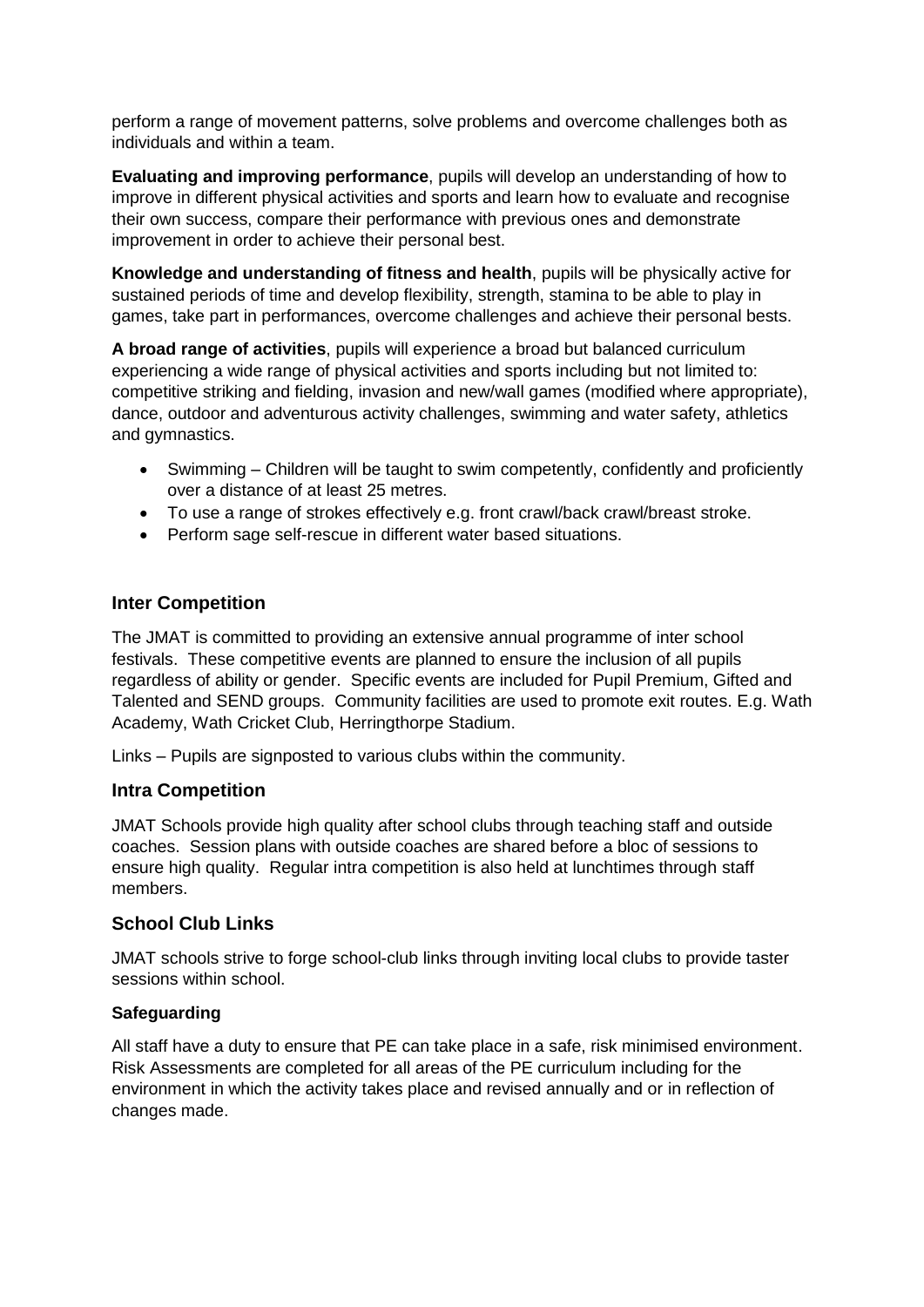perform a range of movement patterns, solve problems and overcome challenges both as individuals and within a team.

**Evaluating and improving performance**, pupils will develop an understanding of how to improve in different physical activities and sports and learn how to evaluate and recognise their own success, compare their performance with previous ones and demonstrate improvement in order to achieve their personal best.

**Knowledge and understanding of fitness and health**, pupils will be physically active for sustained periods of time and develop flexibility, strength, stamina to be able to play in games, take part in performances, overcome challenges and achieve their personal bests.

**A broad range of activities**, pupils will experience a broad but balanced curriculum experiencing a wide range of physical activities and sports including but not limited to: competitive striking and fielding, invasion and new/wall games (modified where appropriate), dance, outdoor and adventurous activity challenges, swimming and water safety, athletics and gymnastics.

- Swimming Children will be taught to swim competently, confidently and proficiently over a distance of at least 25 metres.
- To use a range of strokes effectively e.g. front crawl/back crawl/breast stroke.
- Perform sage self-rescue in different water based situations.

## **Inter Competition**

The JMAT is committed to providing an extensive annual programme of inter school festivals. These competitive events are planned to ensure the inclusion of all pupils regardless of ability or gender. Specific events are included for Pupil Premium, Gifted and Talented and SEND groups. Community facilities are used to promote exit routes. E.g. Wath Academy, Wath Cricket Club, Herringthorpe Stadium.

Links – Pupils are signposted to various clubs within the community.

### **Intra Competition**

JMAT Schools provide high quality after school clubs through teaching staff and outside coaches. Session plans with outside coaches are shared before a bloc of sessions to ensure high quality. Regular intra competition is also held at lunchtimes through staff members.

## **School Club Links**

JMAT schools strive to forge school-club links through inviting local clubs to provide taster sessions within school.

### **Safeguarding**

All staff have a duty to ensure that PE can take place in a safe, risk minimised environment. Risk Assessments are completed for all areas of the PE curriculum including for the environment in which the activity takes place and revised annually and or in reflection of changes made.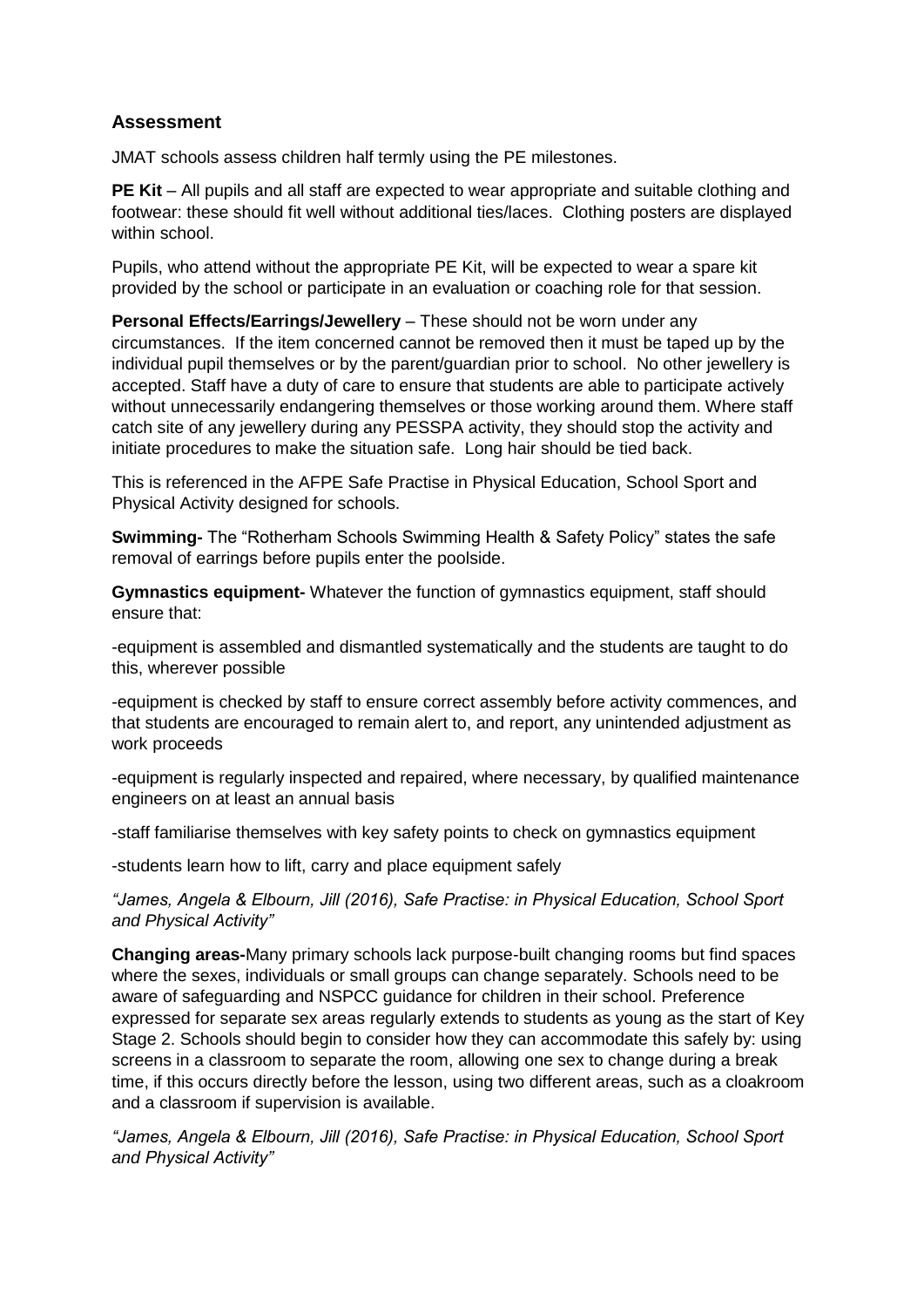# **Assessment**

JMAT schools assess children half termly using the PE milestones.

**PE Kit** – All pupils and all staff are expected to wear appropriate and suitable clothing and footwear: these should fit well without additional ties/laces. Clothing posters are displayed within school.

Pupils, who attend without the appropriate PE Kit, will be expected to wear a spare kit provided by the school or participate in an evaluation or coaching role for that session.

**Personal Effects/Earrings/Jewellery** – These should not be worn under any circumstances. If the item concerned cannot be removed then it must be taped up by the individual pupil themselves or by the parent/guardian prior to school. No other jewellery is accepted. Staff have a duty of care to ensure that students are able to participate actively without unnecessarily endangering themselves or those working around them. Where staff catch site of any jewellery during any PESSPA activity, they should stop the activity and initiate procedures to make the situation safe. Long hair should be tied back.

This is referenced in the AFPE Safe Practise in Physical Education, School Sport and Physical Activity designed for schools.

**Swimming-** The "Rotherham Schools Swimming Health & Safety Policy" states the safe removal of earrings before pupils enter the poolside.

**Gymnastics equipment-** Whatever the function of gymnastics equipment, staff should ensure that:

-equipment is assembled and dismantled systematically and the students are taught to do this, wherever possible

-equipment is checked by staff to ensure correct assembly before activity commences, and that students are encouraged to remain alert to, and report, any unintended adjustment as work proceeds

-equipment is regularly inspected and repaired, where necessary, by qualified maintenance engineers on at least an annual basis

-staff familiarise themselves with key safety points to check on gymnastics equipment

-students learn how to lift, carry and place equipment safely

*"James, Angela & Elbourn, Jill (2016), Safe Practise: in Physical Education, School Sport and Physical Activity"*

**Changing areas-**Many primary schools lack purpose-built changing rooms but find spaces where the sexes, individuals or small groups can change separately. Schools need to be aware of safeguarding and NSPCC guidance for children in their school. Preference expressed for separate sex areas regularly extends to students as young as the start of Key Stage 2. Schools should begin to consider how they can accommodate this safely by: using screens in a classroom to separate the room, allowing one sex to change during a break time, if this occurs directly before the lesson, using two different areas, such as a cloakroom and a classroom if supervision is available.

*"James, Angela & Elbourn, Jill (2016), Safe Practise: in Physical Education, School Sport and Physical Activity"*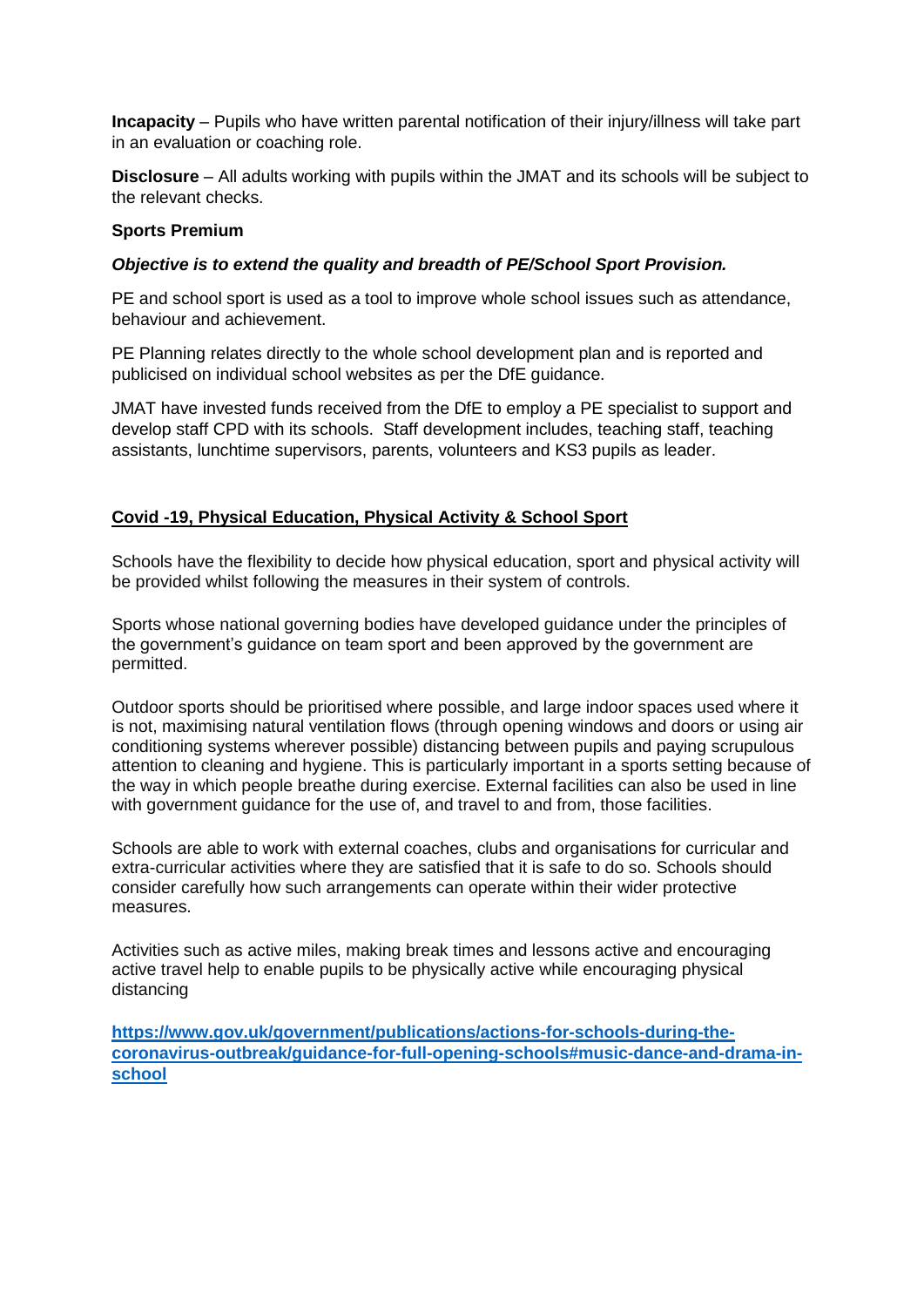**Incapacity** – Pupils who have written parental notification of their injury/illness will take part in an evaluation or coaching role.

**Disclosure** – All adults working with pupils within the JMAT and its schools will be subject to the relevant checks.

#### **Sports Premium**

#### *Objective is to extend the quality and breadth of PE/School Sport Provision.*

PE and school sport is used as a tool to improve whole school issues such as attendance, behaviour and achievement.

PE Planning relates directly to the whole school development plan and is reported and publicised on individual school websites as per the DfE guidance.

JMAT have invested funds received from the DfE to employ a PE specialist to support and develop staff CPD with its schools. Staff development includes, teaching staff, teaching assistants, lunchtime supervisors, parents, volunteers and KS3 pupils as leader.

### **Covid -19, Physical Education, Physical Activity & School Sport**

Schools have the flexibility to decide how physical education, sport and physical activity will be provided whilst following the measures in their system of controls.

Sports whose national governing bodies have developed guidance under the principles of the government's guidance on team sport and been approved by the government are permitted.

Outdoor sports should be prioritised where possible, and large indoor spaces used where it is not, maximising natural ventilation flows (through opening windows and doors or using air conditioning systems wherever possible) distancing between pupils and paying scrupulous attention to cleaning and hygiene. This is particularly important in a sports setting because of the way in which people breathe during exercise. External facilities can also be used in line with government guidance for the use of, and travel to and from, those facilities.

Schools are able to work with external coaches, clubs and organisations for curricular and extra-curricular activities where they are satisfied that it is safe to do so. Schools should consider carefully how such arrangements can operate within their wider protective measures.

Activities such as active miles, making break times and lessons active and encouraging active travel help to enable pupils to be physically active while encouraging physical distancing

**[https://www.gov.uk/government/publications/actions-for-schools-during-the](https://www.gov.uk/government/publications/actions-for-schools-during-the-coronavirus-outbreak/guidance-for-full-opening-schools#music-dance-and-drama-in-school)[coronavirus-outbreak/guidance-for-full-opening-schools#music-dance-and-drama-in](https://www.gov.uk/government/publications/actions-for-schools-during-the-coronavirus-outbreak/guidance-for-full-opening-schools#music-dance-and-drama-in-school)[school](https://www.gov.uk/government/publications/actions-for-schools-during-the-coronavirus-outbreak/guidance-for-full-opening-schools#music-dance-and-drama-in-school)**